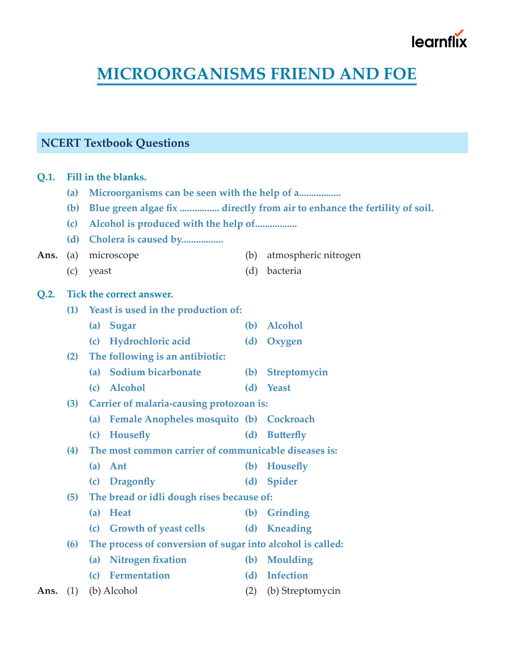# learnfl

# **MICROORGANISMS FRIEND AND FOE**

# **NCERT Textbook Questions**

**Q.1. Fill in the blanks.**

- **(a) Microorganisms can be seen with the help of a.................**
- **(b) Blue green algae fix ................ directly from air to enhance the fertility of soil.**
- **(c) Alcohol is produced with the help of.................**
- **(d) Cholera is caused by.................**
- Ans. (a) microscope (b) atmospheric nitrogen
	- (c) yeast (d) bacteria

### **Q.2. Tick the correct answer.**

- **(1) Yeast is used in the production of:**
	- **(a) Sugar (b) Alcohol**
		- **(c) Hydrochloric acid (d) Oxygen**
- **(2) The following is an antibiotic:**
	- **(a) Sodium bicarbonate (b) Streptomycin**
	- **(c) Alcohol (d) Yeast**
- **(3) Carrier of malaria-causing protozoan is:**
	- **(a) Female Anopheles mosquito (b) Cockroach**
	- **(c) Housefly (d) Butterfly**
- **(4) The most common carrier of communicable diseases is:**
	- **(a) Ant (b) Housefly**
	- **(c) Dragonfly (d) Spider**
- **(5) The bread or idli dough rises because of:**
- **(a) Heat (b) Grinding**
- **(c) Growth of yeast cells (d) Kneading**
- **(6) The process of conversion of sugar into alcohol is called:**
	- **(a) Nitrogen fixation (b) Moulding**
- **(c) Fermentation (d) Infection**
- Ans. (1) (b) Alcohol (2) (b) Streptomycin
- 
-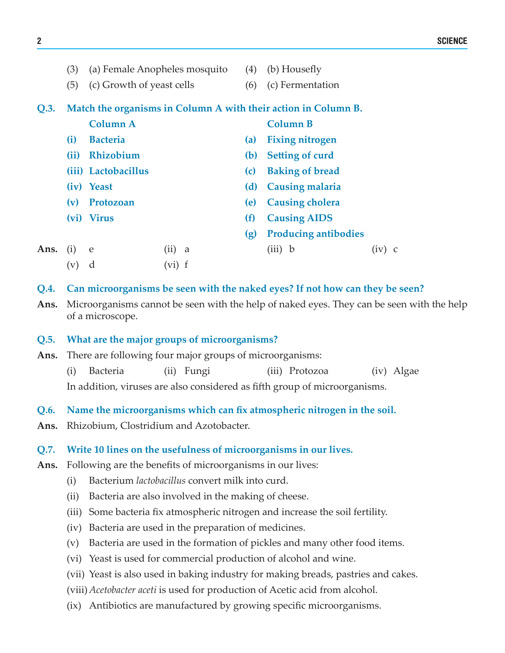|      | (3)                                                            |                           | (a) Female Anopheles mosquito | (4) | (b) Housefly                |  |  |
|------|----------------------------------------------------------------|---------------------------|-------------------------------|-----|-----------------------------|--|--|
|      | (5)                                                            | (c) Growth of yeast cells |                               | (6) | (c) Fermentation            |  |  |
| Q.3. | Match the organisms in Column A with their action in Column B. |                           |                               |     |                             |  |  |
|      |                                                                | <b>Column A</b>           |                               |     | <b>Column B</b>             |  |  |
|      | (i)                                                            | <b>Bacteria</b>           |                               | (a) | <b>Fixing nitrogen</b>      |  |  |
|      | (ii)                                                           | Rhizobium                 |                               |     | <b>Setting of curd</b>      |  |  |
|      |                                                                | (iii) Lactobacillus       |                               | (c) | <b>Baking of bread</b>      |  |  |
|      |                                                                | (iv) Yeast                |                               | (d) | <b>Causing malaria</b>      |  |  |
|      | (v)                                                            | Protozoan                 |                               | (e) | <b>Causing cholera</b>      |  |  |
|      |                                                                | (vi) Virus                |                               | (f) | <b>Causing AIDS</b>         |  |  |
|      |                                                                |                           |                               | (g) | <b>Producing antibodies</b> |  |  |
| Ans. | (i)                                                            | e                         | (ii)<br>a                     |     | $(iii)$ b                   |  |  |
|      | $(\rm{v})$                                                     | d                         | vi) f                         |     |                             |  |  |

- **Q.4. Can microorganisms be seen with the naked eyes? If not how can they be seen?**
- **Ans.** Microorganisms cannot be seen with the help of naked eyes. They can be seen with the help of a microscope.

## **Q.5. What are the major groups of microorganisms?**

**Ans.** There are following four major groups of microorganisms:

(i) Bacteria (ii) Fungi (iii) Protozoa (iv) Algae In addition, viruses are also considered as fifth group of microorganisms.

- **Q.6. Name the microorganisms which can fix atmospheric nitrogen in the soil.**
- **Ans.** Rhizobium, Clostridium and Azotobacter.

### **Q.7. Write 10 lines on the usefulness of microorganisms in our lives.**

- Ans. Following are the benefits of microorganisms in our lives:
	- (i) Bacterium *lactobacillus* convert milk into curd.
	- (ii) Bacteria are also involved in the making of cheese.
	- (iii) Some bacteria fix atmospheric nitrogen and increase the soil fertility.
	- (iv) Bacteria are used in the preparation of medicines.
	- (v) Bacteria are used in the formation of pickles and many other food items.
	- (vi) Yeast is used for commercial production of alcohol and wine.
	- (vii) Yeast is also used in baking industry for making breads, pastries and cakes.
	- (viii) *Acetobacter aceti* is used for production of Acetic acid from alcohol.
	- (ix) Antibiotics are manufactured by growing specific microorganisms.